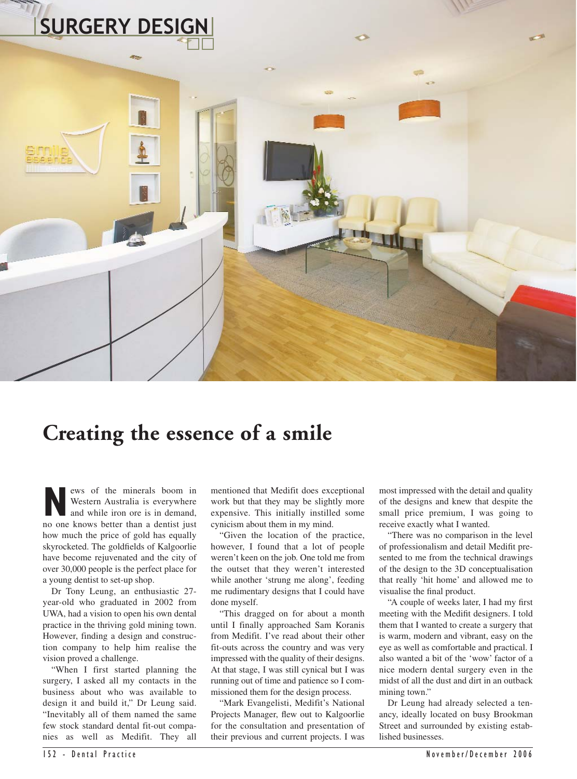

## **Creating the essence of a smile**

**News** of the minerals boom in<br>
Western Australia is everywhere<br>
and while iron ore is in demand,<br>
no one knows better than a dentist just Western Australia is everywhere no one knows better than a dentist just how much the price of gold has equally skyrocketed. The goldfields of Kalgoorlie have become rejuvenated and the city of over 30,000 people is the perfect place for a young dentist to set-up shop.

Dr Tony Leung, an enthusiastic 27 year-old who graduated in 2002 from UWA, had a vision to open his own dental practice in the thriving gold mining town. However, finding a design and construction company to help him realise the vision proved a challenge.

"When I first started planning the surgery, I asked all my contacts in the business about who was available to design it and build it," Dr Leung said. "Inevitably all of them named the same few stock standard dental fit-out companies as well as Medifit. They all

mentioned that Medifit does exceptional work but that they may be slightly more expensive. This initially instilled some cynicism about them in my mind.

"Given the location of the practice, however, I found that a lot of people weren't keen on the job. One told me from the outset that they weren't interested while another 'strung me along', feeding me rudimentary designs that I could have done myself.

"This dragged on for about a month until I finally approached Sam Koranis from Medifit. I've read about their other fit-outs across the country and was very impressed with the quality of their designs. At that stage, I was still cynical but I was running out of time and patience so I commissioned them for the design process.

"Mark Evangelisti, Medifit's National Projects Manager, flew out to Kalgoorlie for the consultation and presentation of their previous and current projects. I was

most impressed with the detail and quality of the designs and knew that despite the small price premium, I was going to receive exactly what I wanted.

"There was no comparison in the level of professionalism and detail Medifit presented to me from the technical drawings of the design to the 3D conceptualisation that really 'hit home' and allowed me to visualise the final product.

"A couple of weeks later, I had my first meeting with the Medifit designers. I told them that I wanted to create a surgery that is warm, modern and vibrant, easy on the eye as well as comfortable and practical. I also wanted a bit of the 'wow' factor of a nice modern dental surgery even in the midst of all the dust and dirt in an outback mining town."

Dr Leung had already selected a tenancy, ideally located on busy Brookman Street and surrounded by existing established businesses.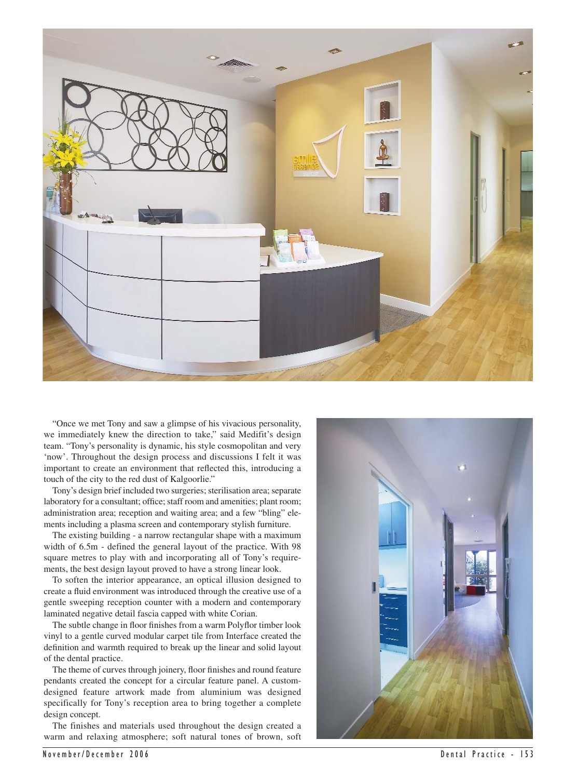

"Once we met Tony and saw a glimpse of his vivacious personality, we immediately knew the direction to take," said Medifit's design team. "Tony's personality is dynamic, his style cosmopolitan and very 'now'. Throughout the design process and discussions I felt it was important to create an environment that reflected this, introducing a touch of the city to the red dust of Kalgoorlie."

Tony's design brief included two surgeries; sterilisation area; separate laboratory for a consultant; office; staff room and amenities; plant room; administration area; reception and waiting area; and a few "bling" elements including a plasma screen and contemporary stylish furniture.

The existing building - a narrow rectangular shape with a maximum width of 6.5m - defined the general layout of the practice. With 98 square metres to play with and incorporating all of Tony's requirements, the best design layout proved to have a strong linear look.

To soften the interior appearance, an optical illusion designed to create a fluid environment was introduced through the creative use of a gentle sweeping reception counter with a modern and contemporary laminated negative detail fascia capped with white Corian.

The subtle change in floor finishes from a warm Polyflor timber look vinyl to a gentle curved modular carpet tile from Interface created the definition and warmth required to break up the linear and solid layout of the dental practice.

The theme of curves through joinery, floor finishes and round feature pendants created the concept for a circular feature panel. A customdesigned feature artwork made from aluminium was designed specifically for Tony's reception area to bring together a complete design concept.

The finishes and materials used throughout the design created a warm and relaxing atmosphere; soft natural tones of brown, soft

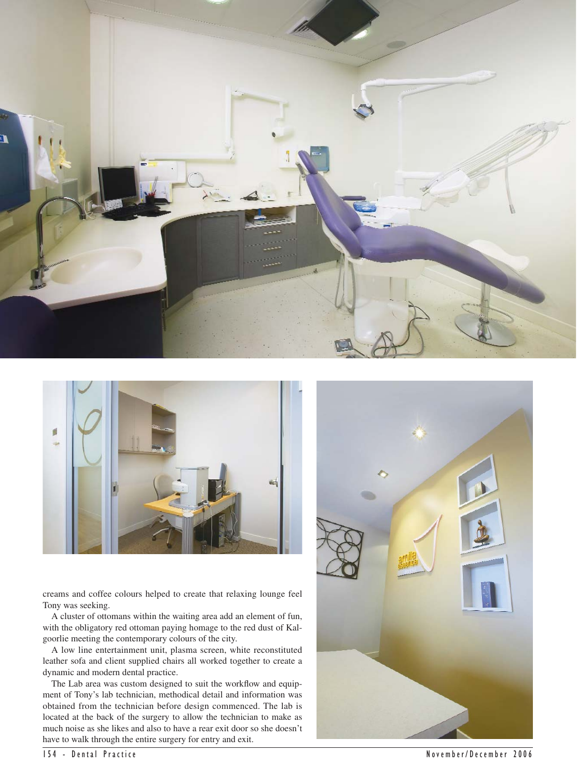



creams and coffee colours helped to create that relaxing lounge feel Tony was seeking.

A cluster of ottomans within the waiting area add an element of fun, with the obligatory red ottoman paying homage to the red dust of Kalgoorlie meeting the contemporary colours of the city.

A low line entertainment unit, plasma screen, white reconstituted leather sofa and client supplied chairs all worked together to create a dynamic and modern dental practice.

The Lab area was custom designed to suit the workflow and equipment of Tony's lab technician, methodical detail and information was obtained from the technician before design commenced. The lab is located at the back of the surgery to allow the technician to make as much noise as she likes and also to have a rear exit door so she doesn't have to walk through the entire surgery for entry and exit.